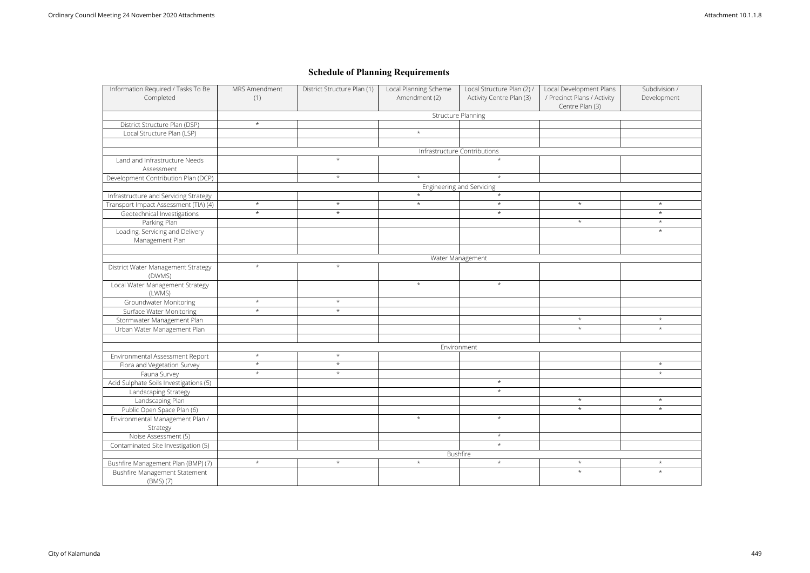| <b>Structure Planning</b><br>District Structure Plan (DSP)<br>$\star$<br>$\star$<br>Local Structure Plan (LSP)<br>Infrastructure Contributions<br>Land and Infrastructure Needs<br>$\star$<br>Assessment<br>$\star$<br>Development Contribution Plan (DCP)<br>$\star$<br>Engineering and Servicing<br>Infrastructure and Servicing Strategy<br>$\star$<br>$\star$<br>$\star$<br>Transport Impact Assessment (TIA) (4)<br>$\star$<br>$\star$<br>Geotechnical Investigations<br>$\star$<br>Parking Plan<br>Loading, Servicing and Delivery<br>Management Plan<br>Water Management<br>$\star$<br>District Water Management Strategy<br>$\star$<br>(DWMS)<br>Local Water Management Strategy<br>$\star$<br>(LWMS)<br>$\star$<br>$\star$<br><b>Groundwater Monitoring</b><br>Surface Water Monitoring<br>$\star$<br>$\star$<br>Stormwater Management Plan<br>Urban Water Management Plan<br>Environment<br>Environmental Assessment Report<br>$\star$<br>$\star$<br>$\star$<br>$\star$<br>Flora and Vegetation Survey<br>Fauna Survey<br>$\star$<br>$\star$<br>Acid Sulphate Soils Investigations (5)<br>Landscaping Strategy<br>Landscaping Plan | $\star$<br>$\star$<br>$\star$<br>$\star$<br>$\star$<br>$\star$ | Centre Plan (3)<br>$\star$<br>$\star$ | $\star$<br>$\star$<br>$\star$<br>$\star$ |
|----------------------------------------------------------------------------------------------------------------------------------------------------------------------------------------------------------------------------------------------------------------------------------------------------------------------------------------------------------------------------------------------------------------------------------------------------------------------------------------------------------------------------------------------------------------------------------------------------------------------------------------------------------------------------------------------------------------------------------------------------------------------------------------------------------------------------------------------------------------------------------------------------------------------------------------------------------------------------------------------------------------------------------------------------------------------------------------------------------------------------------------------|----------------------------------------------------------------|---------------------------------------|------------------------------------------|
|                                                                                                                                                                                                                                                                                                                                                                                                                                                                                                                                                                                                                                                                                                                                                                                                                                                                                                                                                                                                                                                                                                                                              |                                                                |                                       |                                          |
|                                                                                                                                                                                                                                                                                                                                                                                                                                                                                                                                                                                                                                                                                                                                                                                                                                                                                                                                                                                                                                                                                                                                              |                                                                |                                       |                                          |
|                                                                                                                                                                                                                                                                                                                                                                                                                                                                                                                                                                                                                                                                                                                                                                                                                                                                                                                                                                                                                                                                                                                                              |                                                                |                                       |                                          |
|                                                                                                                                                                                                                                                                                                                                                                                                                                                                                                                                                                                                                                                                                                                                                                                                                                                                                                                                                                                                                                                                                                                                              |                                                                |                                       |                                          |
|                                                                                                                                                                                                                                                                                                                                                                                                                                                                                                                                                                                                                                                                                                                                                                                                                                                                                                                                                                                                                                                                                                                                              |                                                                |                                       |                                          |
|                                                                                                                                                                                                                                                                                                                                                                                                                                                                                                                                                                                                                                                                                                                                                                                                                                                                                                                                                                                                                                                                                                                                              |                                                                |                                       |                                          |
|                                                                                                                                                                                                                                                                                                                                                                                                                                                                                                                                                                                                                                                                                                                                                                                                                                                                                                                                                                                                                                                                                                                                              |                                                                |                                       |                                          |
|                                                                                                                                                                                                                                                                                                                                                                                                                                                                                                                                                                                                                                                                                                                                                                                                                                                                                                                                                                                                                                                                                                                                              |                                                                |                                       |                                          |
|                                                                                                                                                                                                                                                                                                                                                                                                                                                                                                                                                                                                                                                                                                                                                                                                                                                                                                                                                                                                                                                                                                                                              |                                                                |                                       |                                          |
|                                                                                                                                                                                                                                                                                                                                                                                                                                                                                                                                                                                                                                                                                                                                                                                                                                                                                                                                                                                                                                                                                                                                              |                                                                |                                       |                                          |
|                                                                                                                                                                                                                                                                                                                                                                                                                                                                                                                                                                                                                                                                                                                                                                                                                                                                                                                                                                                                                                                                                                                                              |                                                                |                                       |                                          |
|                                                                                                                                                                                                                                                                                                                                                                                                                                                                                                                                                                                                                                                                                                                                                                                                                                                                                                                                                                                                                                                                                                                                              |                                                                |                                       |                                          |
|                                                                                                                                                                                                                                                                                                                                                                                                                                                                                                                                                                                                                                                                                                                                                                                                                                                                                                                                                                                                                                                                                                                                              |                                                                |                                       |                                          |
|                                                                                                                                                                                                                                                                                                                                                                                                                                                                                                                                                                                                                                                                                                                                                                                                                                                                                                                                                                                                                                                                                                                                              |                                                                |                                       |                                          |
|                                                                                                                                                                                                                                                                                                                                                                                                                                                                                                                                                                                                                                                                                                                                                                                                                                                                                                                                                                                                                                                                                                                                              |                                                                |                                       |                                          |
|                                                                                                                                                                                                                                                                                                                                                                                                                                                                                                                                                                                                                                                                                                                                                                                                                                                                                                                                                                                                                                                                                                                                              |                                                                |                                       |                                          |
|                                                                                                                                                                                                                                                                                                                                                                                                                                                                                                                                                                                                                                                                                                                                                                                                                                                                                                                                                                                                                                                                                                                                              |                                                                |                                       |                                          |
|                                                                                                                                                                                                                                                                                                                                                                                                                                                                                                                                                                                                                                                                                                                                                                                                                                                                                                                                                                                                                                                                                                                                              |                                                                |                                       |                                          |
|                                                                                                                                                                                                                                                                                                                                                                                                                                                                                                                                                                                                                                                                                                                                                                                                                                                                                                                                                                                                                                                                                                                                              |                                                                |                                       |                                          |
|                                                                                                                                                                                                                                                                                                                                                                                                                                                                                                                                                                                                                                                                                                                                                                                                                                                                                                                                                                                                                                                                                                                                              |                                                                |                                       |                                          |
|                                                                                                                                                                                                                                                                                                                                                                                                                                                                                                                                                                                                                                                                                                                                                                                                                                                                                                                                                                                                                                                                                                                                              |                                                                |                                       |                                          |
|                                                                                                                                                                                                                                                                                                                                                                                                                                                                                                                                                                                                                                                                                                                                                                                                                                                                                                                                                                                                                                                                                                                                              |                                                                |                                       |                                          |
|                                                                                                                                                                                                                                                                                                                                                                                                                                                                                                                                                                                                                                                                                                                                                                                                                                                                                                                                                                                                                                                                                                                                              |                                                                | $\star$                               | $\star$                                  |
|                                                                                                                                                                                                                                                                                                                                                                                                                                                                                                                                                                                                                                                                                                                                                                                                                                                                                                                                                                                                                                                                                                                                              |                                                                | $\star$                               | $\star$                                  |
|                                                                                                                                                                                                                                                                                                                                                                                                                                                                                                                                                                                                                                                                                                                                                                                                                                                                                                                                                                                                                                                                                                                                              |                                                                |                                       |                                          |
|                                                                                                                                                                                                                                                                                                                                                                                                                                                                                                                                                                                                                                                                                                                                                                                                                                                                                                                                                                                                                                                                                                                                              |                                                                |                                       |                                          |
|                                                                                                                                                                                                                                                                                                                                                                                                                                                                                                                                                                                                                                                                                                                                                                                                                                                                                                                                                                                                                                                                                                                                              |                                                                |                                       |                                          |
|                                                                                                                                                                                                                                                                                                                                                                                                                                                                                                                                                                                                                                                                                                                                                                                                                                                                                                                                                                                                                                                                                                                                              |                                                                |                                       | $\star$                                  |
|                                                                                                                                                                                                                                                                                                                                                                                                                                                                                                                                                                                                                                                                                                                                                                                                                                                                                                                                                                                                                                                                                                                                              |                                                                |                                       | $\star$                                  |
|                                                                                                                                                                                                                                                                                                                                                                                                                                                                                                                                                                                                                                                                                                                                                                                                                                                                                                                                                                                                                                                                                                                                              | $\star$                                                        |                                       |                                          |
|                                                                                                                                                                                                                                                                                                                                                                                                                                                                                                                                                                                                                                                                                                                                                                                                                                                                                                                                                                                                                                                                                                                                              | $\star$                                                        |                                       |                                          |
|                                                                                                                                                                                                                                                                                                                                                                                                                                                                                                                                                                                                                                                                                                                                                                                                                                                                                                                                                                                                                                                                                                                                              |                                                                | $\star$                               | $\star$                                  |
| Public Open Space Plan (6)                                                                                                                                                                                                                                                                                                                                                                                                                                                                                                                                                                                                                                                                                                                                                                                                                                                                                                                                                                                                                                                                                                                   |                                                                | $\star$                               | $\star$                                  |
| Environmental Management Plan /<br>$\star$                                                                                                                                                                                                                                                                                                                                                                                                                                                                                                                                                                                                                                                                                                                                                                                                                                                                                                                                                                                                                                                                                                   | $\star$                                                        |                                       |                                          |
| Strategy                                                                                                                                                                                                                                                                                                                                                                                                                                                                                                                                                                                                                                                                                                                                                                                                                                                                                                                                                                                                                                                                                                                                     |                                                                |                                       |                                          |
| Noise Assessment (5)                                                                                                                                                                                                                                                                                                                                                                                                                                                                                                                                                                                                                                                                                                                                                                                                                                                                                                                                                                                                                                                                                                                         | $\star$                                                        |                                       |                                          |
| Contaminated Site Investigation (5)                                                                                                                                                                                                                                                                                                                                                                                                                                                                                                                                                                                                                                                                                                                                                                                                                                                                                                                                                                                                                                                                                                          | $\star$                                                        |                                       |                                          |
| Bushfire                                                                                                                                                                                                                                                                                                                                                                                                                                                                                                                                                                                                                                                                                                                                                                                                                                                                                                                                                                                                                                                                                                                                     |                                                                |                                       |                                          |
| Bushfire Management Plan (BMP) (7)<br>$\star$<br>$\star$<br>$\star$                                                                                                                                                                                                                                                                                                                                                                                                                                                                                                                                                                                                                                                                                                                                                                                                                                                                                                                                                                                                                                                                          | $\star$                                                        | $\star$                               | $\star$                                  |
| Bushfire Management Statement                                                                                                                                                                                                                                                                                                                                                                                                                                                                                                                                                                                                                                                                                                                                                                                                                                                                                                                                                                                                                                                                                                                |                                                                | $\star$                               | $\star$                                  |
| (BMS) (7)                                                                                                                                                                                                                                                                                                                                                                                                                                                                                                                                                                                                                                                                                                                                                                                                                                                                                                                                                                                                                                                                                                                                    |                                                                |                                       |                                          |